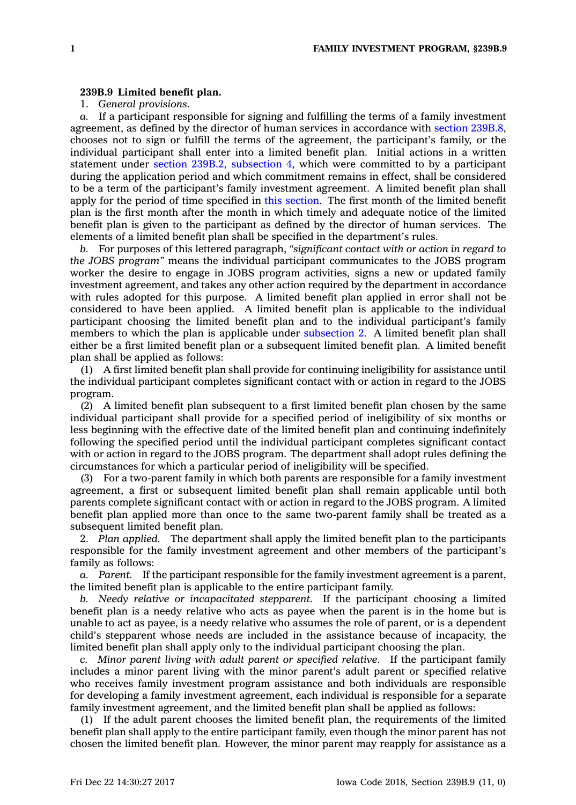## **239B.9 Limited benefit plan.**

1. *General provisions.*

*a.* If <sup>a</sup> participant responsible for signing and fulfilling the terms of <sup>a</sup> family investment agreement, as defined by the director of human services in accordance with section [239B.8](https://www.legis.iowa.gov/docs/code/239B.8.pdf), chooses not to sign or fulfill the terms of the agreement, the participant's family, or the individual participant shall enter into <sup>a</sup> limited benefit plan. Initial actions in <sup>a</sup> written statement under section 239B.2, [subsection](https://www.legis.iowa.gov/docs/code/239B.2.pdf) 4, which were committed to by <sup>a</sup> participant during the application period and which commitment remains in effect, shall be considered to be <sup>a</sup> term of the participant's family investment agreement. A limited benefit plan shall apply for the period of time specified in this [section](https://www.legis.iowa.gov/docs/code/239B.9.pdf). The first month of the limited benefit plan is the first month after the month in which timely and adequate notice of the limited benefit plan is given to the participant as defined by the director of human services. The elements of <sup>a</sup> limited benefit plan shall be specified in the department's rules.

*b.* For purposes of this lettered paragraph, *"significant contact with or action in regard to the JOBS program"* means the individual participant communicates to the JOBS program worker the desire to engage in JOBS program activities, signs <sup>a</sup> new or updated family investment agreement, and takes any other action required by the department in accordance with rules adopted for this purpose. A limited benefit plan applied in error shall not be considered to have been applied. A limited benefit plan is applicable to the individual participant choosing the limited benefit plan and to the individual participant's family members to which the plan is applicable under [subsection](https://www.legis.iowa.gov/docs/code/239B.9.pdf) 2. A limited benefit plan shall either be <sup>a</sup> first limited benefit plan or <sup>a</sup> subsequent limited benefit plan. A limited benefit plan shall be applied as follows:

(1) A first limited benefit plan shall provide for continuing ineligibility for assistance until the individual participant completes significant contact with or action in regard to the JOBS program.

(2) A limited benefit plan subsequent to <sup>a</sup> first limited benefit plan chosen by the same individual participant shall provide for <sup>a</sup> specified period of ineligibility of six months or less beginning with the effective date of the limited benefit plan and continuing indefinitely following the specified period until the individual participant completes significant contact with or action in regard to the JOBS program. The department shall adopt rules defining the circumstances for which <sup>a</sup> particular period of ineligibility will be specified.

(3) For <sup>a</sup> two-parent family in which both parents are responsible for <sup>a</sup> family investment agreement, <sup>a</sup> first or subsequent limited benefit plan shall remain applicable until both parents complete significant contact with or action in regard to the JOBS program. A limited benefit plan applied more than once to the same two-parent family shall be treated as <sup>a</sup> subsequent limited benefit plan.

2. *Plan applied.* The department shall apply the limited benefit plan to the participants responsible for the family investment agreement and other members of the participant's family as follows:

*a. Parent.* If the participant responsible for the family investment agreement is <sup>a</sup> parent, the limited benefit plan is applicable to the entire participant family.

*b. Needy relative or incapacitated stepparent.* If the participant choosing <sup>a</sup> limited benefit plan is <sup>a</sup> needy relative who acts as payee when the parent is in the home but is unable to act as payee, is <sup>a</sup> needy relative who assumes the role of parent, or is <sup>a</sup> dependent child's stepparent whose needs are included in the assistance because of incapacity, the limited benefit plan shall apply only to the individual participant choosing the plan.

*c. Minor parent living with adult parent or specified relative.* If the participant family includes <sup>a</sup> minor parent living with the minor parent's adult parent or specified relative who receives family investment program assistance and both individuals are responsible for developing <sup>a</sup> family investment agreement, each individual is responsible for <sup>a</sup> separate family investment agreement, and the limited benefit plan shall be applied as follows:

(1) If the adult parent chooses the limited benefit plan, the requirements of the limited benefit plan shall apply to the entire participant family, even though the minor parent has not chosen the limited benefit plan. However, the minor parent may reapply for assistance as <sup>a</sup>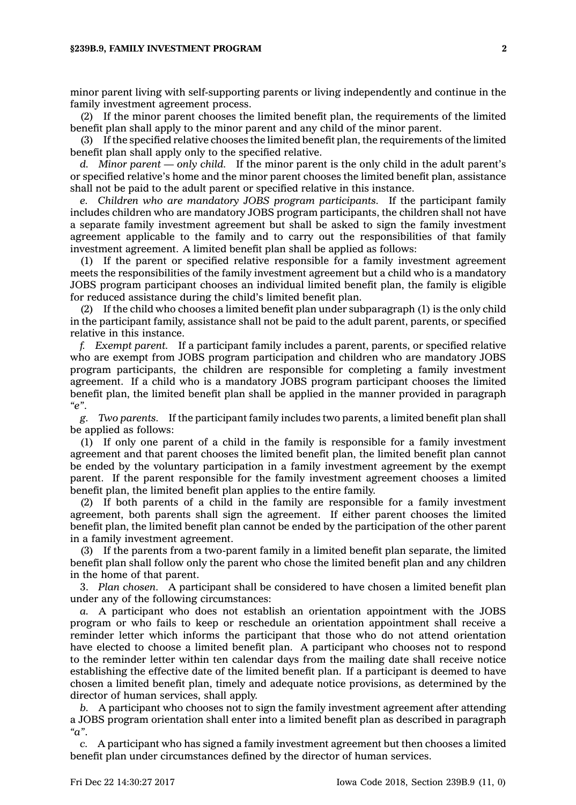minor parent living with self-supporting parents or living independently and continue in the family investment agreement process.

(2) If the minor parent chooses the limited benefit plan, the requirements of the limited benefit plan shall apply to the minor parent and any child of the minor parent.

(3) If the specified relative chooses the limited benefit plan, the requirements of the limited benefit plan shall apply only to the specified relative.

*d. Minor parent —only child.* If the minor parent is the only child in the adult parent's or specified relative's home and the minor parent chooses the limited benefit plan, assistance shall not be paid to the adult parent or specified relative in this instance.

*e. Children who are mandatory JOBS program participants.* If the participant family includes children who are mandatory JOBS program participants, the children shall not have <sup>a</sup> separate family investment agreement but shall be asked to sign the family investment agreement applicable to the family and to carry out the responsibilities of that family investment agreement. A limited benefit plan shall be applied as follows:

(1) If the parent or specified relative responsible for <sup>a</sup> family investment agreement meets the responsibilities of the family investment agreement but <sup>a</sup> child who is <sup>a</sup> mandatory JOBS program participant chooses an individual limited benefit plan, the family is eligible for reduced assistance during the child's limited benefit plan.

(2) If the child who chooses <sup>a</sup> limited benefit plan under subparagraph (1) is the only child in the participant family, assistance shall not be paid to the adult parent, parents, or specified relative in this instance.

*f. Exempt parent.* If <sup>a</sup> participant family includes <sup>a</sup> parent, parents, or specified relative who are exempt from JOBS program participation and children who are mandatory JOBS program participants, the children are responsible for completing <sup>a</sup> family investment agreement. If <sup>a</sup> child who is <sup>a</sup> mandatory JOBS program participant chooses the limited benefit plan, the limited benefit plan shall be applied in the manner provided in paragraph *"e"*.

*g. Two parents.* If the participant family includes two parents, <sup>a</sup> limited benefit plan shall be applied as follows:

(1) If only one parent of <sup>a</sup> child in the family is responsible for <sup>a</sup> family investment agreement and that parent chooses the limited benefit plan, the limited benefit plan cannot be ended by the voluntary participation in <sup>a</sup> family investment agreement by the exempt parent. If the parent responsible for the family investment agreement chooses <sup>a</sup> limited benefit plan, the limited benefit plan applies to the entire family.

(2) If both parents of <sup>a</sup> child in the family are responsible for <sup>a</sup> family investment agreement, both parents shall sign the agreement. If either parent chooses the limited benefit plan, the limited benefit plan cannot be ended by the participation of the other parent in <sup>a</sup> family investment agreement.

(3) If the parents from <sup>a</sup> two-parent family in <sup>a</sup> limited benefit plan separate, the limited benefit plan shall follow only the parent who chose the limited benefit plan and any children in the home of that parent.

3. *Plan chosen.* A participant shall be considered to have chosen <sup>a</sup> limited benefit plan under any of the following circumstances:

*a.* A participant who does not establish an orientation appointment with the JOBS program or who fails to keep or reschedule an orientation appointment shall receive <sup>a</sup> reminder letter which informs the participant that those who do not attend orientation have elected to choose <sup>a</sup> limited benefit plan. A participant who chooses not to respond to the reminder letter within ten calendar days from the mailing date shall receive notice establishing the effective date of the limited benefit plan. If <sup>a</sup> participant is deemed to have chosen <sup>a</sup> limited benefit plan, timely and adequate notice provisions, as determined by the director of human services, shall apply.

*b.* A participant who chooses not to sign the family investment agreement after attending <sup>a</sup> JOBS program orientation shall enter into <sup>a</sup> limited benefit plan as described in paragraph *"a"*.

*c.* A participant who has signed <sup>a</sup> family investment agreement but then chooses <sup>a</sup> limited benefit plan under circumstances defined by the director of human services.